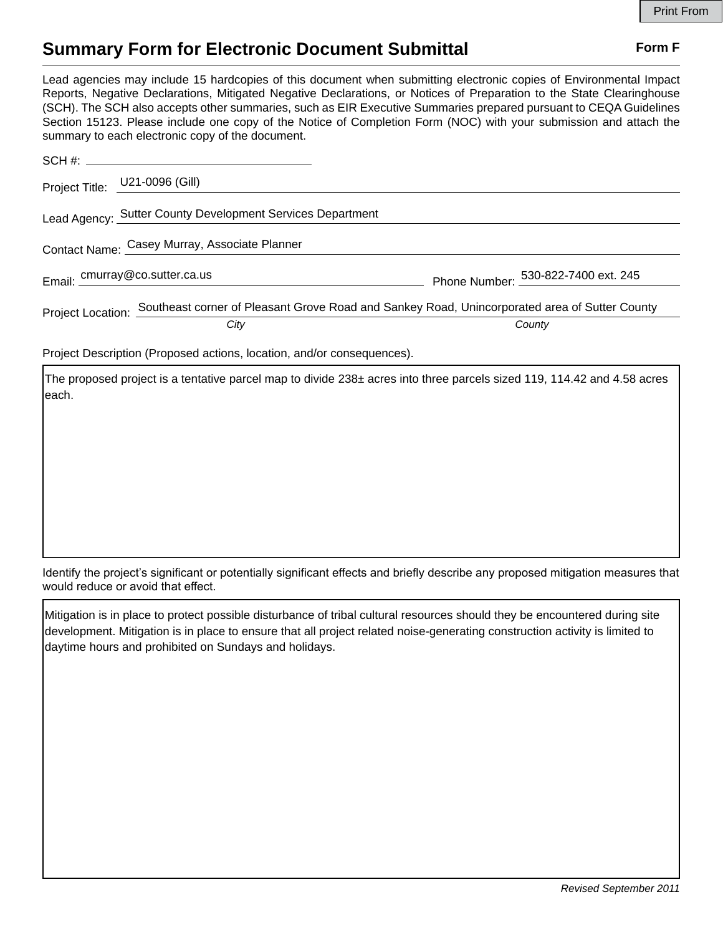## **Summary Form for Electronic Document Submittal Form F Form F**

Lead agencies may include 15 hardcopies of this document when submitting electronic copies of Environmental Impact Reports, Negative Declarations, Mitigated Negative Declarations, or Notices of Preparation to the State Clearinghouse (SCH). The SCH also accepts other summaries, such as EIR Executive Summaries prepared pursuant to CEQA Guidelines Section 15123. Please include one copy of the Notice of Completion Form (NOC) with your submission and attach the summary to each electronic copy of the document.

| Project Title: U21-0096 (Gill)                |                                                                                                                         |                                     |
|-----------------------------------------------|-------------------------------------------------------------------------------------------------------------------------|-------------------------------------|
|                                               | Lead Agency: Sutter County Development Services Department                                                              |                                     |
| Contact Name: Casey Murray, Associate Planner |                                                                                                                         |                                     |
| Email: cmurray@co.sutter.ca.us                |                                                                                                                         | Phone Number: 530-822-7400 ext. 245 |
|                                               | Project Location: Southeast corner of Pleasant Grove Road and Sankey Road, Unincorporated area of Sutter County<br>City | County                              |

Project Description (Proposed actions, location, and/or consequences).

The proposed project is a tentative parcel map to divide  $238\pm$  acres into three parcels sized 119, 114.42 and 4.58 acres each.

Identify the project's significant or potentially significant effects and briefly describe any proposed mitigation measures that would reduce or avoid that effect.

Mitigation is in place to protect possible disturbance of tribal cultural resources should they be encountered during site development. Mitigation is in place to ensure that all project related noise-generating construction activity is limited to daytime hours and prohibited on Sundays and holidays.